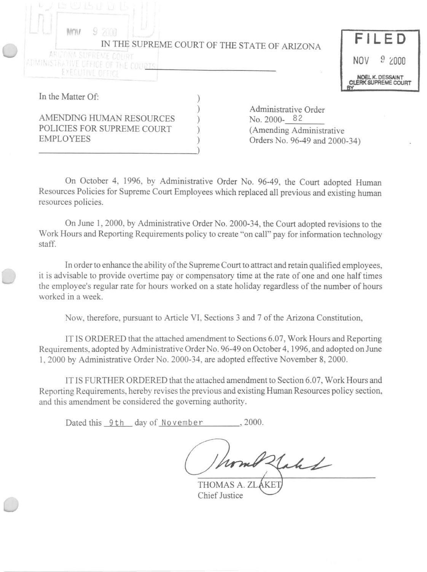| le vulle d'u                                                               |  |                                                                                                  |                                                       |
|----------------------------------------------------------------------------|--|--------------------------------------------------------------------------------------------------|-------------------------------------------------------|
| 92000<br>IN THE SUPREME COURT OF THE STATE OF ARIZONA                      |  |                                                                                                  | FILED                                                 |
| ARIZONA SUPREME COURT<br>ADMINISTRATIVE GFFICE OF THE COURTS.              |  |                                                                                                  | 92000<br><b>NOV</b>                                   |
| EXECUTIVE OFFICE                                                           |  |                                                                                                  | <b>NOEL K. DESSAINT</b><br><b>CLERK SUPREME COURT</b> |
| In the Matter Of:                                                          |  |                                                                                                  |                                                       |
| AMENDING HUMAN RESOURCES<br>POLICIES FOR SUPREME COURT<br><b>EMPLOYEES</b> |  | Administrative Order<br>No. 2000-82<br>(Amending Administrative<br>Orders No. 96-49 and 2000-34) |                                                       |

On October 4, 1996, by Administrative Order No. 96-49, the Court adopted Human Resources Policies for Supreme Court Employees which replaced all previous and existing human resources policies.

On June 1, 2000, by Administrative Order No. 2000-34, the Court adopted revisions to the Work Hours and Reporting Requirements policy to create "on call" pay for information technology staff.

In order to enhance the ability of the Supreme Court to attract and retain qualified employees, it is advisable to provide overtime payor compensatory time at the rate of one and one half times the employee's regular rate for hours worked on a state holiday regardless of the number of hours worked in a week.

Now, therefore, pursuant to Article VI, Sections 3 and 7 of the Arizona Constitution,

IT IS ORDERED that the attached amendment to Sections 6.07, Work Hours and Reporting Requirements, adopted by Administrative Order No. 96-49 on October 4, 1996, and adopted on June 1,2000 by Administrative Order No. 2000-34, are adopted effective November 8, 2000.

IT IS FURTHER ORDERED that the attached amendment to Section 6.07, Work Hours and Reporting Requirements, hereby revises the previous and existing Human Resources policy section, and this amendment be considered the governing authority.

Dated this 9th day of November , 2000.

Flakk

THOMAS A. ZI Chief Justice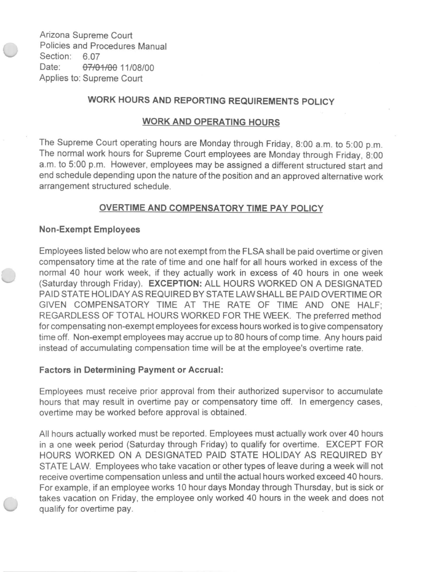Arizona Supreme Court Policies and Procedures Manual Section: 6.07 Date: 07/01/00 11/08/00 Applies to: Supreme Court

# WORK HOURS AND REPORTING REQUIREMENTS POLICY

# WORK AND OPERATING HOURS

The Supreme Court operating hours are Monday through Friday, 8:00 a.m. to 5:00 p.m. The normal work hours for Supreme Court employees are Monday through Friday, 8:00 a.m. to 5:00 p.m. However, employees may be assigned a different structured start and end schedule depending upon the nature of the position and an approved alternative work arrangement structured schedule.

# OVERTIME AND COMPENSATORY TIME PAY POLICY

### Non-Exempt Employees

Employees listed below Who are not exempt from the FLSA shall be paid overtime or given compensatory time at the rate of time and one half for all hours worked in excess of the normal 40 hour work week, if they actually work in excess of 40 hours in one week (Saturday through Friday). EXCEPTION: ALL HOURS WORKED ON A DESIGNATED PAID STATE HOLIDAY AS REQUIRED BY STATE LAW SHALL BE PAID OVERTIME OR GIVEN COMPENSATORY TIME AT THE RATE OF TIME AND ONE HALF; REGARDLESS OF TOTAL HOURS WORKED FOR THE WEEK. The preferred method for compensating non-exempt employees for excess hours worked is to give compensatory time off. Non-exempt employees may accrue up to 80 hours of comp time. Any hours paid instead of accumulating compensation time will be at the employee's overtime rate.

### Factors in Determining Payment or Accrual:

Employees must receive prior approval from their authorized supervisor to accumulate hours that may result in overtime pay or compensatory time off. In emergency cases, overtime may be worked before approval is obtained.

All hours actually worked must be reported . Employees must actually work over 40 hours in a one week period (Saturday through Friday) to qualify for overtime. EXCEPT FOR HOURS WORKED ON A DESIGNATED PAID STATE HOLIDAY AS REQUIRED BY STATE LAW. Employees who take vacation or other types of leave during a week will not receive overtime compensation unless and until the actual hours worked exceed 40 hours. For example, if an employee works 10 hour days Monday through Thursday, but is sick or takes vacation on Friday, the employee only worked 40 hours in the week and does not qualify for overtime pay.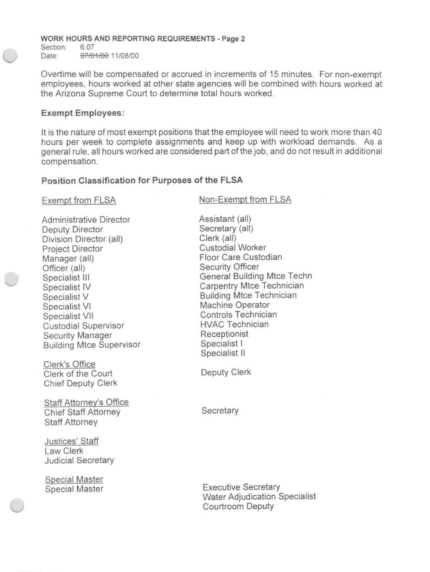#### **WORK HOURS AND REPORTING REQUIREMENTS - Page** 2

Section: 6.07<br>Date: 07/0 07/01/00 11/08/00

Overtime will be compensated or accrued in increments of 15 minutes. For non-exempt employees, hours worked at other state agencies will be combined with hours worked at the Arizona Supreme Court to determine total hours worked.

#### **Exempt Employees:**

It is the nature of most exempt positions that the employee will need to work more than 40 hours per week to complete assignments and keep up with workload demands. As a general rule, all hours worked are considered part of the job, and do not result in additional compensation.

### **Position Classification for Purposes of the FLSA**

Exempt from FLSA

Administrative Director Deputy Director Division Director (all) Project Director Manager (all) Officer (all) Specialist **III**  Specialist **IV**  Specialist V Specialist VI Specialist VII Custodial Supervisor Security Manager Building Mtce Supervisor

Clerk's Office Clerk of the Court Chief Deputy Clerk

Staff Attorney's Office Chief Staff Attorney Staff Attorney

Justices' Staff Law Clerk Judicial Secretary

Special Master Special Master Non-Exempt from FLSA

Assistant (all) Secretary (all) Clerk (all) Custodial Worker Floor Care Custodian Security Officer General Building Mtce Techn Carpentry Mtce Technician Building Mtce Technician Machine Operator Controls Technician HVAC Technician Receptionist Specialist I Specialist II

Deputy Clerk

**Secretary** 

Executive Secretary Water Adjudication Specialist Courtroom Deputy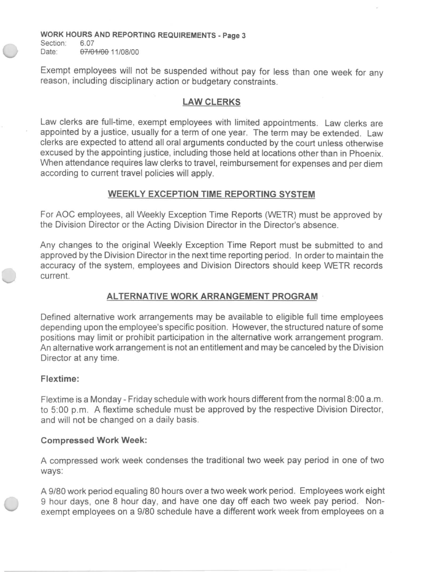WORK HOURS AND REPORTING REQUIREMENTS - Page 3

Section: 6.07 Date: 07/01/00 11/08/00

Exempt employees will not be suspended without pay for less than one week for any reason, including disciplinary action or budgetary constraints.

# LAW CLERKS

Law clerks are full-time, exempt employees with limited appointments. Law clerks are appointed by a justice, usually for a term of one year. The term may be extended. Law clerks are expected to attend all oral arguments conducted by the court unless otherwise excused by the appointing justice, including those held at locations other than in Phoenix. When attendance requires law clerks to travel, reimbursement for expenses and per diem according to current travel policies will apply.

# WEEKLY EXCEPTION TIME REPORTING SYSTEM

For AOC employees, all Weekly Exception Time Reports (WETR) must be approved by the Division Director or the Acting Division Director in the Director's absence.

Any changes to the original Weekly Exception Time Report must be submitted to and approved by the Division Director in the next time reporting period. In orderto maintain the accuracy of the system, employees and Division Directors should keep WETR records current.

# ALTERNATIVE WORK ARRANGEMENT PROGRAM

Defined alternative work arrangements may be available to eligible full time employees depending upon the employee's specific position. However, the structured nature of some positions may limit or prohibit participation in the alternative work arrangement program. An alternative work arrangement is not an entitlement and may be canceled by the Division Director at any time.

### Flextime:

Flextime is a Monday - Friday schedule with work hours different from the normal 8:00 a.m. to 5:00 p.m. A flextime schedule must be approved by the respective Division Director, and will not be changed on a daily basis.

### Compressed Work Week:

A compressed work week condenses the traditional two week pay period in one of two ways:

A *9/80* work period equaling 80 hours over a two week work period . Employees work eight 9 hour days, one 8 hour day, and have one day off each two week pay period. Nonexempt employees on a *9/80* schedule have a different work week from employees on a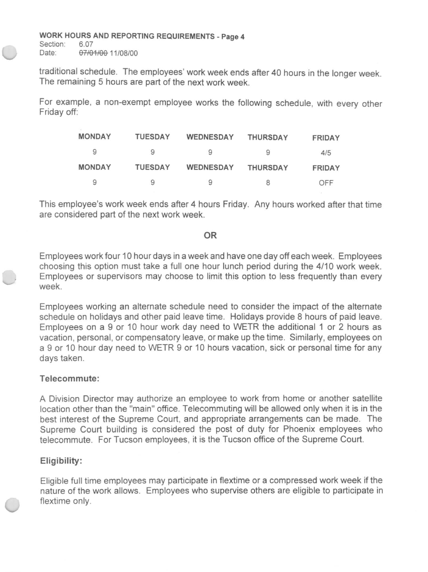# **WORK HOURS AND REPORTING REQUIREMENTS - Page 4**

Section: Date: 07/01/00 11/08/00

traditional schedule. The employees' work week ends after 40 hours in the longer week. The remaining 5 hours are part of the next work week.

For example, a non-exempt employee works the following schedule, with every other Friday off:

| <b>MONDAY</b> | TUESDAY | <b>WEDNESDAY</b> | <b>THURSDAY</b> | <b>FRIDAY</b> |
|---------------|---------|------------------|-----------------|---------------|
| 9             | 9       | 9                | 9               | 4/5           |
| <b>MONDAY</b> | TUESDAY | <b>WEDNESDAY</b> | <b>THURSDAY</b> | <b>FRIDAY</b> |
| 9             | 9       | 9                | 8               | OFF           |

This employee's work week ends after 4 hours Friday. Any hours worked after that time are considered part of the next work week.

### **OR**

Employees work four 10 hour days in a week and have one day off each week. Employees choosing this option must take a full one hour lunch period during the 4/10 work week. Employees or supervisors may choose to limit this option to less frequently than every week.

Employees working an alternate schedule need to consider the impact of the alternate schedule on holidays and other paid leave time. Holidays provide 8 hours of paid leave. Employees on a 9 or 10 hour work day need to WETR the additional 1 or 2 hours as vacation, personal, or compensatory leave, or make up the time. Similarly, employees on a 9 or 10 hour day need to WETR 9 or 10 hours vacation, sick or personal time for any days taken.

### **Telecommute:**

A Division Director may authorize an employee to work from home or another satellite location other than the "main" office. Telecommuting will be allowed only when it is in the best interest of the Supreme Court, and appropriate arrangements can be made. The Supreme Court building is considered the post of duty for Phoenix employees who telecommute. For Tucson employees, it is the Tucson office of the Supreme Court.

# **Eligibility:**

Eligible full time employees may participate in flextime or a compressed work week if the nature of the work allows. Employees who supervise others are eligible to participate in flextime only.